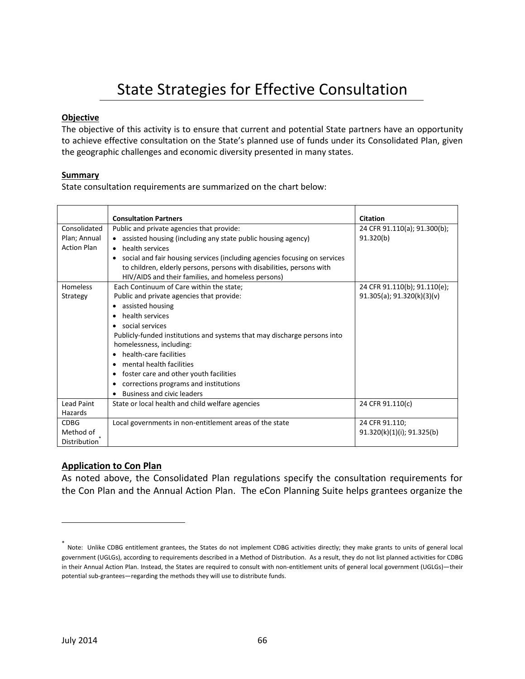# State Strategies for Effective Consultation

## **Objective**

The objective of this activity is to ensure that current and potential State partners have an opportunity to achieve effective consultation on the State's planned use of funds under its Consolidated Plan, given the geographic challenges and economic diversity presented in many states.

### **Summary**

State consultation requirements are summarized on the chart below:

|                    | <b>Consultation Partners</b>                                                   | <b>Citation</b>                 |
|--------------------|--------------------------------------------------------------------------------|---------------------------------|
| Consolidated       | Public and private agencies that provide:                                      | 24 CFR 91.110(a); 91.300(b);    |
| Plan; Annual       | • assisted housing (including any state public housing agency)                 | 91.320(b)                       |
| <b>Action Plan</b> | health services                                                                |                                 |
|                    | social and fair housing services (including agencies focusing on services<br>٠ |                                 |
|                    | to children, elderly persons, persons with disabilities, persons with          |                                 |
|                    | HIV/AIDS and their families, and homeless persons)                             |                                 |
| Homeless           | Each Continuum of Care within the state;                                       | 24 CFR 91.110(b); 91.110(e);    |
| Strategy           | Public and private agencies that provide:                                      | $91.305(a)$ ; $91.320(k)(3)(v)$ |
|                    | assisted housing                                                               |                                 |
|                    | health services                                                                |                                 |
|                    | social services                                                                |                                 |
|                    | Publicly-funded institutions and systems that may discharge persons into       |                                 |
|                    | homelessness, including:                                                       |                                 |
|                    | health-care facilities                                                         |                                 |
|                    | mental health facilities                                                       |                                 |
|                    | foster care and other youth facilities                                         |                                 |
|                    | corrections programs and institutions<br>٠                                     |                                 |
|                    | <b>Business and civic leaders</b>                                              |                                 |
| <b>Lead Paint</b>  | State or local health and child welfare agencies                               | 24 CFR 91.110(c)                |
| Hazards            |                                                                                |                                 |
| <b>CDBG</b>        | Local governments in non-entitlement areas of the state                        | 24 CFR 91.110;                  |
| Method of          |                                                                                | 91.320(k)(1)(i); 91.325(b)      |
| Distribution       |                                                                                |                                 |

# **Application to Con Plan**

As noted above, the Consolidated Plan regulations specify the consultation requirements for the Con Plan and the Annual Action Plan. The eCon Planning Suite helps grantees organize the

<sup>\*</sup> Note: Unlike CDBG entitlement grantees, the States do not implement CDBG activities directly; they make grants to units of general local government (UGLGs), according to requirements described in a Method of Distribution. As a result, they do not list planned activities for CDBG in their Annual Action Plan. Instead, the States are required to consult with non-entitlement units of general local government (UGLGs)—their potential sub-grantees—regarding the methods they will use to distribute funds.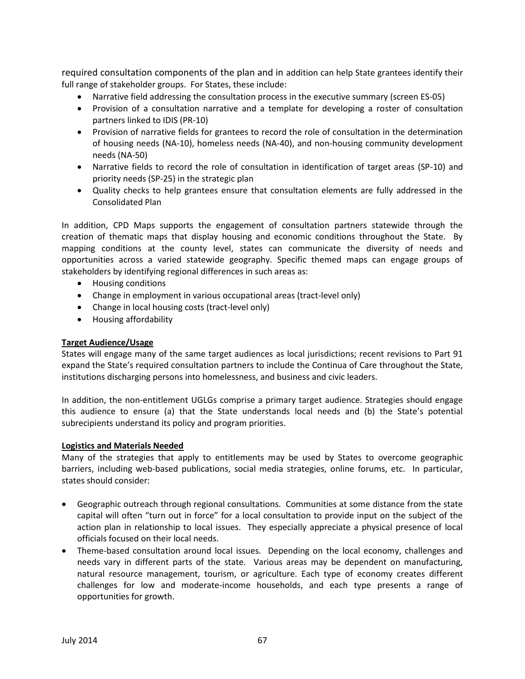required consultation components of the plan and in addition can help State grantees identify their full range of stakeholder groups. For States, these include:

- Narrative field addressing the consultation process in the executive summary (screen ES-05)
- Provision of a consultation narrative and a template for developing a roster of consultation partners linked to IDIS (PR-10)
- Provision of narrative fields for grantees to record the role of consultation in the determination of housing needs (NA-10), homeless needs (NA-40), and non-housing community development needs (NA-50)
- Narrative fields to record the role of consultation in identification of target areas (SP-10) and priority needs (SP-25) in the strategic plan
- Quality checks to help grantees ensure that consultation elements are fully addressed in the Consolidated Plan

In addition, CPD Maps supports the engagement of consultation partners statewide through the creation of thematic maps that display housing and economic conditions throughout the State. By mapping conditions at the county level, states can communicate the diversity of needs and opportunities across a varied statewide geography. Specific themed maps can engage groups of stakeholders by identifying regional differences in such areas as:

- Housing conditions
- Change in employment in various occupational areas (tract-level only)
- Change in local housing costs (tract-level only)
- Housing affordability

## **Target Audience/Usage**

States will engage many of the same target audiences as local jurisdictions; recent revisions to Part 91 expand the State's required consultation partners to include the Continua of Care throughout the State, institutions discharging persons into homelessness, and business and civic leaders.

In addition, the non-entitlement UGLGs comprise a primary target audience. Strategies should engage this audience to ensure (a) that the State understands local needs and (b) the State's potential subrecipients understand its policy and program priorities.

### **Logistics and Materials Needed**

Many of the strategies that apply to entitlements may be used by States to overcome geographic barriers, including web-based publications, social media strategies, online forums, etc. In particular, states should consider:

- Geographic outreach through regional consultations. Communities at some distance from the state capital will often "turn out in force" for a local consultation to provide input on the subject of the action plan in relationship to local issues. They especially appreciate a physical presence of local officials focused on their local needs.
- Theme-based consultation around local issues. Depending on the local economy, challenges and needs vary in different parts of the state. Various areas may be dependent on manufacturing, natural resource management, tourism, or agriculture. Each type of economy creates different challenges for low and moderate-income households, and each type presents a range of opportunities for growth.